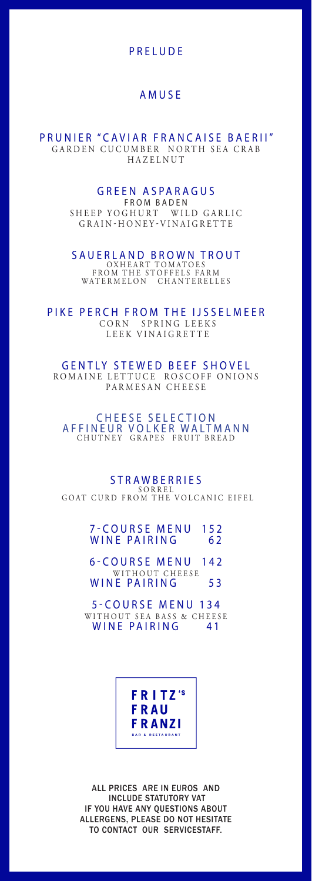## PRELUDE

### AMUSE

PRUNIER "CAVIAR FRANCAISE BAERII" GARDEN CUCUMBER NORTH SEA CRAB HAZELNUT

## GREEN ASPARAGUS

FROM BADEN SHEEP YOGHURT WILD GARLIC GRAIN-HONEY-VINAIGRETTE

SAUERLAND BROWN TROUT OXHEART TOMATOES FROM THE STOFFELS FARM WATERMELON CHANTERELLES

PIKE PERCH FROM THE IJSSELMEER CORN SPRING LEEKS LEEK VINAIGRETTE

GENTLY STEWED BEEF SHOVEL ROMAINE LETTUCE ROSCOFF ONIONS PARMESAN CHEESE

CHEESE SELECTION AFFINEUR VOLKER WALTMANN CHUTNEY GRAPES FRUIT BREAD

**STRAWBERRIES** S O R R E L GOAT CURD FROM THE VOLCANIC EIFEL

### 7-COURSE MENU 152 WINE PAIRING 62

6-COURSE MENU 142 WITHOUT CHEESE WINE PAIRING 53

5-COURSE MENU 134 WITHOUT SEA BASS & CHEESE<br>WINE PAIRING 41

> FRITZ's **FRAU FRANZI**

ALL PRICES ARE IN EUROS AND INCLUDE STATUTORY VAT IF YOU HAVE ANY QUESTIONS ABOUT ALLERGENS, PLEASE DO NOT HESITATE TO CONTACT OUR SERVICESTAFF.